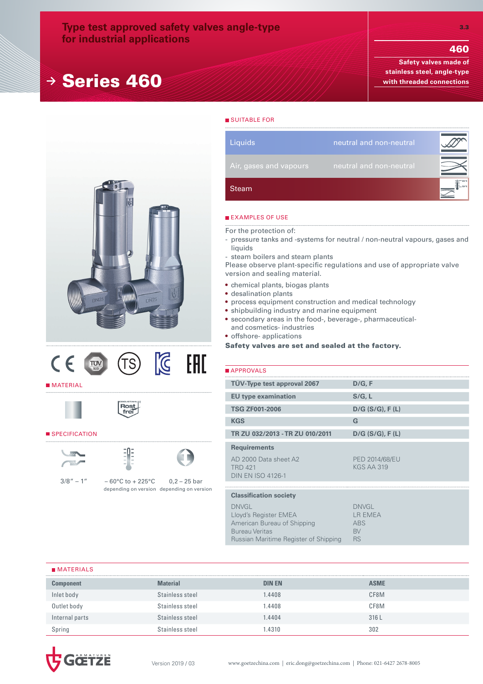## **Type test approved safety valves angle-type for industrial applications**

# **<sup>→</sup>** Series 460

460

**Safety valves made of stainless steel, angle-type with threaded connections**





#### **MATERIAL**





#### SPECIFICATION





 $3/8'' - 1'' - 60^{\circ}$ C to + 225°C depending on version depending on version  $0,2 - 25$  bar

Steam **Liquids** neutral and non-neutral

#### **EXAMPLES OF USE**

**SUITABLE FOR** 

For the protection of:

- pressure tanks and -systems for neutral / non-neutral vapours, gases and liquids
- steam boilers and steam plants

Please observe plant-specific regulations and use of appropriate valve version and sealing material.

- chemical plants, biogas plants
- desalination plants
- process equipment construction and medical technology
- shipbuilding industry and marine equipment
- secondary areas in the food-, beverage-, pharmaceuticaland cosmetics- industries
- offshore- applications

Safety valves are set and sealed at the factory.

| <b>APPROVALS</b>                                                                                                                       |                                                                        |
|----------------------------------------------------------------------------------------------------------------------------------------|------------------------------------------------------------------------|
| TÜV-Type test approval 2067                                                                                                            | D/G, F                                                                 |
| <b>EU type examination</b>                                                                                                             | S/G, L                                                                 |
| <b>TSG ZF001-2006</b>                                                                                                                  | $D/G$ (S/G), F(L)                                                      |
| <b>KGS</b>                                                                                                                             | G                                                                      |
| TR ZU 032/2013 - TR ZU 010/2011                                                                                                        | $D/G$ (S/G), F(L)                                                      |
| <b>Requirements</b>                                                                                                                    |                                                                        |
| AD 2000 Data sheet A2<br><b>TRD 421</b><br><b>DIN EN ISO 4126-1</b>                                                                    | <b>PED 2014/68/EU</b><br><b>KGS AA 319</b>                             |
|                                                                                                                                        |                                                                        |
| <b>Classification society</b>                                                                                                          |                                                                        |
| <b>DNVGL</b><br>Lloyd's Register EMEA<br>American Bureau of Shipping<br><b>Bureau Veritas</b><br>Russian Maritime Register of Shipping | <b>DNVGL</b><br><b>LR EMEA</b><br><b>ABS</b><br><b>BV</b><br><b>RS</b> |

#### **MATERIALS**

| <b>Component</b> | <b>Material</b> | <b>DIN EN</b> | <b>ASME</b> |
|------------------|-----------------|---------------|-------------|
| Inlet body       | Stainless steel | .4408         | CF8M        |
| Outlet body      | Stainless steel | .4408         | CF8M        |
| Internal parts   | Stainless steel | .4404         | 316L        |
| Spring           | Stainless steel | .4310         | 302         |

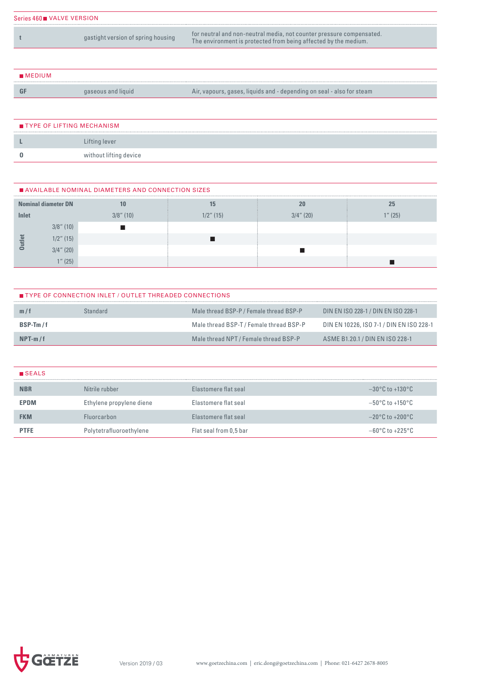| Series 460 VALVE VERSION |                                    |                                                                                                                                         |  |  |  |  |  |  |
|--------------------------|------------------------------------|-----------------------------------------------------------------------------------------------------------------------------------------|--|--|--|--|--|--|
|                          | gastight version of spring housing | for neutral and non-neutral media, not counter pressure compensated.<br>The environment is protected from being affected by the medium. |  |  |  |  |  |  |

| MEDIUM |                    |                                                                       |
|--------|--------------------|-----------------------------------------------------------------------|
|        | gaseous and liquid | Air, vapours, gases, liquids and - depending on seal - also for steam |

| TYPE OF LIFTING MECHANISM |                        |  |  |  |  |  |  |  |  |
|---------------------------|------------------------|--|--|--|--|--|--|--|--|
|                           | Lifting lever          |  |  |  |  |  |  |  |  |
|                           | without lifting device |  |  |  |  |  |  |  |  |

| AVAILABLE NOMINAL DIAMETERS AND CONNECTION SIZES |                            |              |              |              |      |  |  |  |  |  |
|--------------------------------------------------|----------------------------|--------------|--------------|--------------|------|--|--|--|--|--|
|                                                  | <b>Nominal diameter DN</b> |              |              | 20           | 25   |  |  |  |  |  |
| Inlet                                            |                            | $3/8$ " (10) | $1/2$ " (15) | $3/4$ " (20) | (25) |  |  |  |  |  |
|                                                  | $3/8$ " (10)               |              |              |              |      |  |  |  |  |  |
|                                                  | $1/2$ " (15)               |              |              |              |      |  |  |  |  |  |
|                                                  | $3/4$ " (20)               |              |              |              |      |  |  |  |  |  |
|                                                  | $4\pi$ (25)                |              |              |              |      |  |  |  |  |  |

| <b>TYPE OF CONNECTION INLET / OUTLET THREADED CONNECTIONS</b> |          |                                         |                                          |  |  |  |  |  |  |
|---------------------------------------------------------------|----------|-----------------------------------------|------------------------------------------|--|--|--|--|--|--|
| m/t                                                           | Standard | Male thread BSP-P / Female thread BSP-P | DIN EN ISO 228-1 / DIN EN ISO 228-1      |  |  |  |  |  |  |
| $BSP-Tm/f$                                                    |          | Male thread BSP-T / Female thread BSP-P | DIN EN 10226, ISO 7-1 / DIN EN ISO 228-1 |  |  |  |  |  |  |
| $NPT-m/f$                                                     |          | Male thread NPT / Female thread BSP-P   | ASME B1.20.1 / DIN EN ISO 228-1          |  |  |  |  |  |  |

| <b>B</b> SEALS |                          |                             |                                     |
|----------------|--------------------------|-----------------------------|-------------------------------------|
| <b>NBR</b>     | Nitrile rubber           | Elastomere flat seal        | $-30^{\circ}$ C to $+130^{\circ}$ C |
| <b>EPDM</b>    | Ethylene propylene diene | <b>Elastomere flat seal</b> | $-50^{\circ}$ C to $+150^{\circ}$ C |
| <b>FKM</b>     | <b>Fluorcarbon</b>       | Elastomere flat seal        | $-20^{\circ}$ C to $+200^{\circ}$ C |
| <b>PTFE</b>    | Polytetrafluoroethylene  | Flat seal from 0,5 bar      | $-60^{\circ}$ C to $+225^{\circ}$ C |

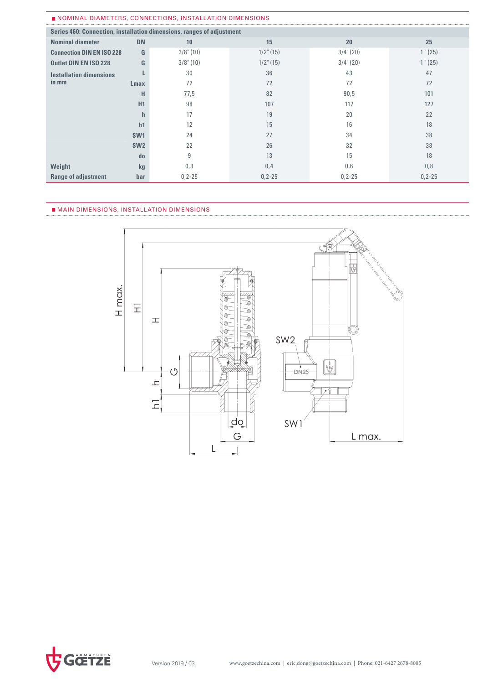| Series 460: Connection, installation dimensions, ranges of adjustment |                 |              |              |              |             |  |  |  |  |  |
|-----------------------------------------------------------------------|-----------------|--------------|--------------|--------------|-------------|--|--|--|--|--|
| <b>Nominal diameter</b>                                               | <b>DN</b>       | 10           | 15           | 20           | 25          |  |  |  |  |  |
| <b>Connection DIN EN ISO 228</b>                                      | G               | $3/8$ " (10) | $1/2$ " (15) | $3/4$ " (20) | 1" (25)     |  |  |  |  |  |
| <b>Outlet DIN EN ISO 228</b>                                          | G               | $3/8$ " (10) | $1/2$ " (15) | $3/4$ " (20) | 1" (25)     |  |  |  |  |  |
| <b>Installation dimensions</b>                                        |                 | 30           | 36           | 43           | 47          |  |  |  |  |  |
| in mm                                                                 | Lmax            | 72           | 72           | 72           | 72          |  |  |  |  |  |
|                                                                       | н               | 77,5         | 82           | 90,5         | 101         |  |  |  |  |  |
|                                                                       | H1              | 98           | 107          | 117          | 127         |  |  |  |  |  |
|                                                                       | h               | 17           | 19           | 20           | 22          |  |  |  |  |  |
|                                                                       | h1              | 12           | 15           | 16           | 18          |  |  |  |  |  |
|                                                                       | SW <sub>1</sub> | 24           | 27           | 34           | 38          |  |  |  |  |  |
|                                                                       | SW <sub>2</sub> | 22           | 26           | 32           | 38          |  |  |  |  |  |
|                                                                       | do              | 9            | 13           | 15           | 18          |  |  |  |  |  |
| Weight                                                                | kg              | 0,3          | 0,4          | 0,6          | 0,8         |  |  |  |  |  |
| <b>Range of adjustment</b>                                            | bar             | $0, 2 - 25$  | $0, 2 - 25$  | $0, 2 - 25$  | $0, 2 - 25$ |  |  |  |  |  |

#### MAIN DIMENSIONS, INSTALLATION DIMENSIONS



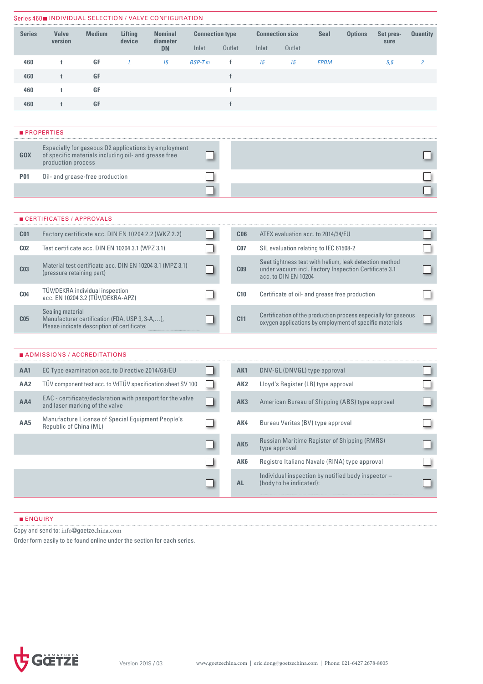|                 | Series 460■ INDIVIDUAL SELECTION / VALVE CONFIGURATION                                                            |               |                   |                                                             |                        |                 |       |                                                                                                                                         |             |                                                         |                                                                |                 |
|-----------------|-------------------------------------------------------------------------------------------------------------------|---------------|-------------------|-------------------------------------------------------------|------------------------|-----------------|-------|-----------------------------------------------------------------------------------------------------------------------------------------|-------------|---------------------------------------------------------|----------------------------------------------------------------|-----------------|
| <b>Series</b>   | <b>Valve</b><br>version                                                                                           | <b>Medium</b> | Lifting<br>device | <b>Nominal</b><br>diameter                                  | <b>Connection type</b> |                 |       | <b>Connection size</b>                                                                                                                  | <b>Seal</b> | <b>Options</b>                                          | Set pres-                                                      | <b>Quantity</b> |
|                 |                                                                                                                   |               |                   | <b>DN</b>                                                   | Inlet                  | Outlet          | Inlet | Outlet                                                                                                                                  |             |                                                         | sure                                                           |                 |
| 460             | t                                                                                                                 | GF            | L                 | 15                                                          | <b>BSP-Tm</b>          | f               | 15    | 15                                                                                                                                      | <b>EPDM</b> |                                                         | 5,5                                                            | $\overline{2}$  |
| 460             | t                                                                                                                 | GF            |                   |                                                             |                        | f               |       |                                                                                                                                         |             |                                                         |                                                                |                 |
| 460             | t                                                                                                                 | <b>GF</b>     |                   |                                                             |                        | f               |       |                                                                                                                                         |             |                                                         |                                                                |                 |
| 460             | t                                                                                                                 | GF            |                   |                                                             |                        | $\mathbf{f}$    |       |                                                                                                                                         |             |                                                         |                                                                |                 |
|                 |                                                                                                                   |               |                   |                                                             |                        |                 |       |                                                                                                                                         |             |                                                         |                                                                |                 |
|                 | <b>PROPERTIES</b>                                                                                                 |               |                   |                                                             |                        |                 |       |                                                                                                                                         |             |                                                         |                                                                |                 |
| <b>GOX</b>      | of specific materials including oil- and grease free<br>production process                                        |               |                   | Especially for gaseous 02 applications by employment        |                        |                 |       |                                                                                                                                         |             |                                                         |                                                                |                 |
| <b>P01</b>      | Oil- and grease-free production                                                                                   |               |                   |                                                             |                        |                 |       |                                                                                                                                         |             |                                                         |                                                                |                 |
|                 |                                                                                                                   |               |                   |                                                             |                        |                 |       |                                                                                                                                         |             |                                                         |                                                                |                 |
|                 |                                                                                                                   |               |                   |                                                             |                        |                 |       |                                                                                                                                         |             |                                                         |                                                                |                 |
|                 | ■ CERTIFICATES / APPROVALS                                                                                        |               |                   |                                                             |                        |                 |       |                                                                                                                                         |             |                                                         |                                                                |                 |
| C <sub>01</sub> |                                                                                                                   |               |                   | Factory certificate acc. DIN EN 10204 2.2 (WKZ 2.2)         |                        | C <sub>06</sub> |       | ATEX evaluation acc. to 2014/34/EU                                                                                                      |             |                                                         |                                                                |                 |
| C <sub>02</sub> | Test certificate acc. DIN EN 10204 3.1 (WPZ 3.1)                                                                  |               |                   |                                                             |                        | C <sub>07</sub> |       | SIL evaluation relating to IEC 61508-2                                                                                                  |             |                                                         |                                                                |                 |
| C <sub>03</sub> | (pressure retaining part)                                                                                         |               |                   | Material test certificate acc. DIN EN 10204 3.1 (MPZ 3.1)   |                        | C <sub>09</sub> |       | Seat tightness test with helium, leak detection method<br>under vacuum incl. Factory Inspection Certificate 3.1<br>acc. to DIN EN 10204 |             |                                                         |                                                                |                 |
| C <sub>04</sub> | TÜV/DEKRA individual inspection<br>acc. EN 10204 3.2 (TÜV/DEKRA-APZ)                                              |               |                   |                                                             |                        | C10             |       |                                                                                                                                         |             | Certificate of oil- and grease free production          |                                                                |                 |
| C <sub>05</sub> | Sealing material<br>Manufacturer certification (FDA, USP 3, 3-A,),<br>Please indicate description of certificate: |               |                   |                                                             |                        | C <sub>11</sub> |       |                                                                                                                                         |             | oxygen applications by employment of specific materials | Certification of the production process especially for gaseous |                 |
|                 |                                                                                                                   |               |                   |                                                             |                        |                 |       |                                                                                                                                         |             |                                                         |                                                                |                 |
|                 | ■ ADMISSIONS / ACCREDITATIONS                                                                                     |               |                   |                                                             |                        |                 |       |                                                                                                                                         |             |                                                         |                                                                |                 |
| AA1             | EC Type examination acc. to Directive 2014/68/EU                                                                  |               |                   |                                                             |                        | AK1             |       | DNV-GL (DNVGL) type approval                                                                                                            |             |                                                         |                                                                |                 |
| AA <sub>2</sub> |                                                                                                                   |               |                   | TÜV component test acc. to VdTÜV specification sheet SV 100 |                        | AK <sub>2</sub> |       | Lloyd's Register (LR) type approval                                                                                                     |             |                                                         |                                                                |                 |
| AA4             | and laser marking of the valve                                                                                    |               |                   | EAC - certificate/declaration with passport for the valve   |                        | AK3             |       |                                                                                                                                         |             | American Bureau of Shipping (ABS) type approval         |                                                                |                 |
| AA5             | Republic of China (ML)                                                                                            |               |                   | Manufacture License of Special Equipment People's           |                        | AK4             |       | Bureau Veritas (BV) type approval                                                                                                       |             |                                                         |                                                                |                 |
|                 |                                                                                                                   |               |                   |                                                             |                        | AK <sub>5</sub> |       | type approval                                                                                                                           |             | Russian Maritime Register of Shipping (RMRS)            |                                                                |                 |
|                 |                                                                                                                   |               |                   |                                                             |                        | AK6             |       |                                                                                                                                         |             | Registro Italiano Navale (RINA) type approval           |                                                                |                 |
|                 |                                                                                                                   |               |                   |                                                             |                        | <b>AL</b>       |       | (body to be indicated):                                                                                                                 |             | Individual inspection by notified body inspector -      |                                                                |                 |
|                 |                                                                                                                   |               |                   |                                                             |                        |                 |       |                                                                                                                                         |             |                                                         |                                                                |                 |

### **ENQUIRY**

Copy and send to: info@goetzechina.com

Order form easily to be found online under the section for each series.